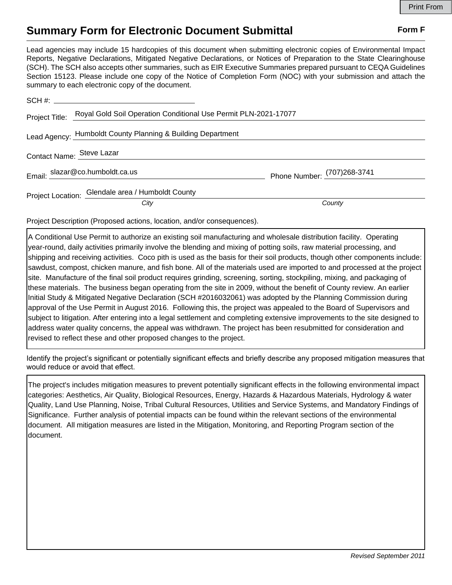## **Summary Form for Electronic Document Submittal Form F Form F**

Lead agencies may include 15 hardcopies of this document when submitting electronic copies of Environmental Impact Reports, Negative Declarations, Mitigated Negative Declarations, or Notices of Preparation to the State Clearinghouse (SCH). The SCH also accepts other summaries, such as EIR Executive Summaries prepared pursuant to CEQA Guidelines Section 15123. Please include one copy of the Notice of Completion Form (NOC) with your submission and attach the summary to each electronic copy of the document.

|                           | Project Title: Royal Gold Soil Operation Conditional Use Permit PLN-2021-17077 |                             |
|---------------------------|--------------------------------------------------------------------------------|-----------------------------|
|                           | Lead Agency: Humboldt County Planning & Building Department                    |                             |
| Contact Name: Steve Lazar |                                                                                |                             |
|                           | Email: slazar@co.humboldt.ca.us                                                | Phone Number: (707)268-3741 |
|                           | Project Location: Glendale area / Humboldt County                              |                             |
|                           | City                                                                           | County                      |

Project Description (Proposed actions, location, and/or consequences).

A Conditional Use Permit to authorize an existing soil manufacturing and wholesale distribution facility. Operating year-round, daily activities primarily involve the blending and mixing of potting soils, raw material processing, and shipping and receiving activities. Coco pith is used as the basis for their soil products, though other components include: sawdust, compost, chicken manure, and fish bone. All of the materials used are imported to and processed at the project site. Manufacture of the final soil product requires grinding, screening, sorting, stockpiling, mixing, and packaging of these materials. The business began operating from the site in 2009, without the benefit of County review. An earlier Initial Study & Mitigated Negative Declaration (SCH #2016032061) was adopted by the Planning Commission during approval of the Use Permit in August 2016. Following this, the project was appealed to the Board of Supervisors and subject to litigation. After entering into a legal settlement and completing extensive improvements to the site designed to address water quality concerns, the appeal was withdrawn. The project has been resubmitted for consideration and revised to reflect these and other proposed changes to the project.

Identify the project's significant or potentially significant effects and briefly describe any proposed mitigation measures that would reduce or avoid that effect.

The project's includes mitigation measures to prevent potentially significant effects in the following environmental impact categories: Aesthetics, Air Quality, Biological Resources, Energy, Hazards & Hazardous Materials, Hydrology & water Quality, Land Use Planning, Noise, Tribal Cultural Resources, Utilities and Service Systems, and Mandatory Findings of Significance. Further analysis of potential impacts can be found within the relevant sections of the environmental document. All mitigation measures are listed in the Mitigation, Monitoring, and Reporting Program section of the document.